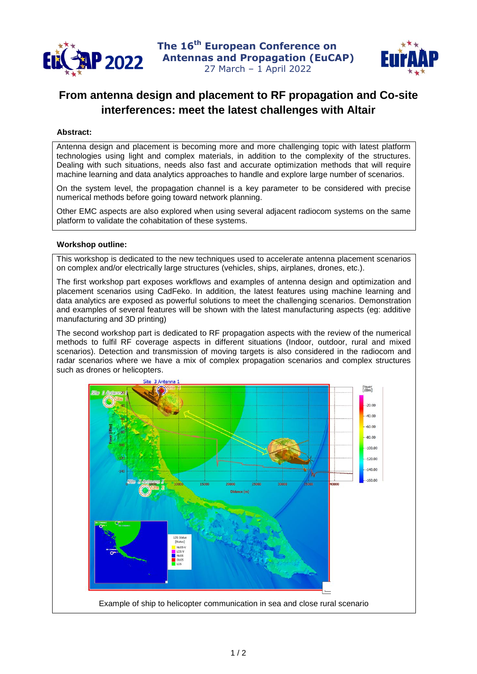



## **From antenna design and placement to RF propagation and Co-site interferences: meet the latest challenges with Altair**

## **Abstract:**

Antenna design and placement is becoming more and more challenging topic with latest platform technologies using light and complex materials, in addition to the complexity of the structures. Dealing with such situations, needs also fast and accurate optimization methods that will require machine learning and data analytics approaches to handle and explore large number of scenarios.

On the system level, the propagation channel is a key parameter to be considered with precise numerical methods before going toward network planning.

Other EMC aspects are also explored when using several adjacent radiocom systems on the same platform to validate the cohabitation of these systems.

## **Workshop outline:**

This workshop is dedicated to the new techniques used to accelerate antenna placement scenarios on complex and/or electrically large structures (vehicles, ships, airplanes, drones, etc.).

The first workshop part exposes workflows and examples of antenna design and optimization and placement scenarios using CadFeko. In addition, the latest features using machine learning and data analytics are exposed as powerful solutions to meet the challenging scenarios. Demonstration and examples of several features will be shown with the latest manufacturing aspects (eg: additive manufacturing and 3D printing)

The second workshop part is dedicated to RF propagation aspects with the review of the numerical methods to fulfil RF coverage aspects in different situations (Indoor, outdoor, rural and mixed scenarios). Detection and transmission of moving targets is also considered in the radiocom and radar scenarios where we have a mix of complex propagation scenarios and complex structures such as drones or helicopters.